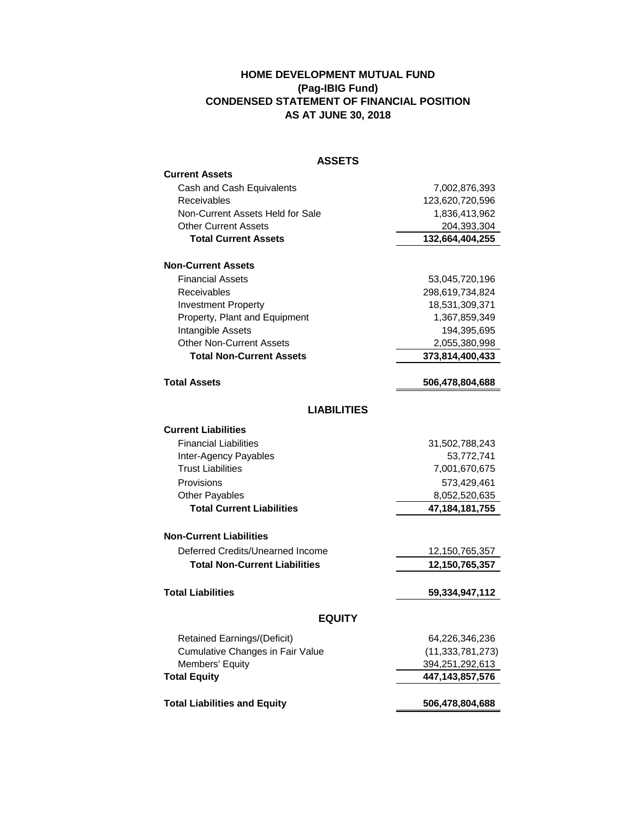## **HOME DEVELOPMENT MUTUAL FUND (Pag-IBIG Fund) CONDENSED STATEMENT OF FINANCIAL POSITION AS AT JUNE 30, 2018**

| <b>ASSETS</b>                           |                     |
|-----------------------------------------|---------------------|
| <b>Current Assets</b>                   |                     |
| Cash and Cash Equivalents               | 7,002,876,393       |
| Receivables                             | 123,620,720,596     |
| Non-Current Assets Held for Sale        | 1,836,413,962       |
| <b>Other Current Assets</b>             | 204,393,304         |
| <b>Total Current Assets</b>             | 132,664,404,255     |
| <b>Non-Current Assets</b>               |                     |
| <b>Financial Assets</b>                 | 53,045,720,196      |
| Receivables                             | 298,619,734,824     |
| <b>Investment Property</b>              | 18,531,309,371      |
| Property, Plant and Equipment           | 1,367,859,349       |
| Intangible Assets                       | 194,395,695         |
| Other Non-Current Assets                | 2,055,380,998       |
| <b>Total Non-Current Assets</b>         | 373,814,400,433     |
| <b>Total Assets</b>                     | 506,478,804,688     |
|                                         |                     |
| <b>LIABILITIES</b>                      |                     |
| <b>Current Liabilities</b>              |                     |
| <b>Financial Liabilities</b>            | 31,502,788,243      |
| Inter-Agency Payables                   | 53,772,741          |
| <b>Trust Liabilities</b>                | 7,001,670,675       |
| Provisions                              | 573,429,461         |
| <b>Other Payables</b>                   | 8,052,520,635       |
| <b>Total Current Liabilities</b>        | 47, 184, 181, 755   |
| <b>Non-Current Liabilities</b>          |                     |
| Deferred Credits/Unearned Income        | 12,150,765,357      |
| <b>Total Non-Current Liabilities</b>    | 12,150,765,357      |
|                                         |                     |
| <b>Total Liabilities</b>                | 59,334,947,112      |
| <b>EQUITY</b>                           |                     |
| Retained Earnings/(Deficit)             | 64,226,346,236      |
| <b>Cumulative Changes in Fair Value</b> | (11, 333, 781, 273) |
| Members' Equity                         | 394,251,292,613     |
| <b>Total Equity</b>                     | 447, 143, 857, 576  |
| <b>Total Liabilities and Equity</b>     | 506,478,804,688     |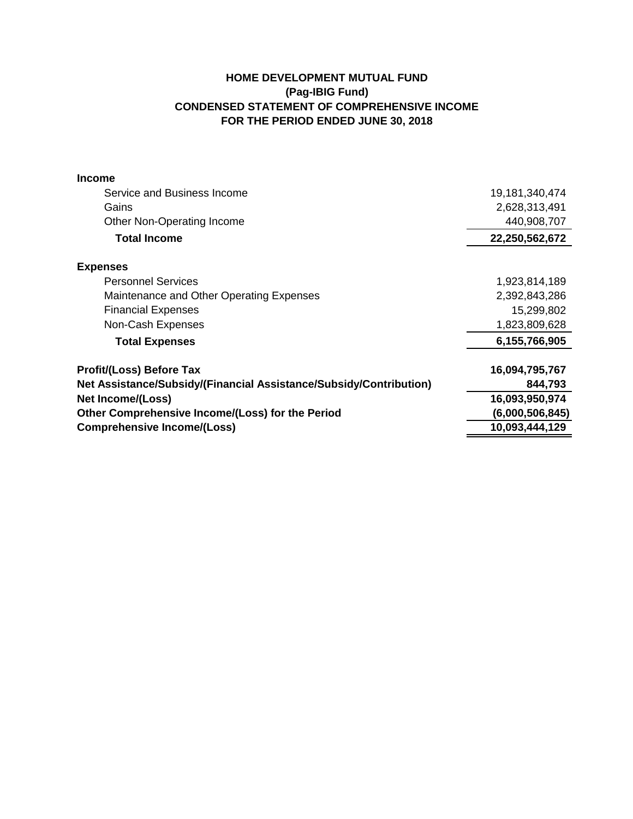## **HOME DEVELOPMENT MUTUAL FUND (Pag-IBIG Fund) CONDENSED STATEMENT OF COMPREHENSIVE INCOME FOR THE PERIOD ENDED JUNE 30, 2018**

| <b>Income</b>                                                      |                 |
|--------------------------------------------------------------------|-----------------|
| Service and Business Income                                        | 19,181,340,474  |
| Gains                                                              | 2,628,313,491   |
| Other Non-Operating Income                                         | 440,908,707     |
| <b>Total Income</b>                                                | 22,250,562,672  |
| <b>Expenses</b>                                                    |                 |
| <b>Personnel Services</b>                                          | 1,923,814,189   |
| Maintenance and Other Operating Expenses                           | 2,392,843,286   |
| <b>Financial Expenses</b>                                          | 15,299,802      |
| Non-Cash Expenses                                                  | 1,823,809,628   |
| <b>Total Expenses</b>                                              | 6,155,766,905   |
| <b>Profit/(Loss) Before Tax</b>                                    | 16,094,795,767  |
| Net Assistance/Subsidy/(Financial Assistance/Subsidy/Contribution) | 844,793         |
| <b>Net Income/(Loss)</b>                                           | 16,093,950,974  |
| Other Comprehensive Income/(Loss) for the Period                   | (6,000,506,845) |
| <b>Comprehensive Income/(Loss)</b>                                 | 10,093,444,129  |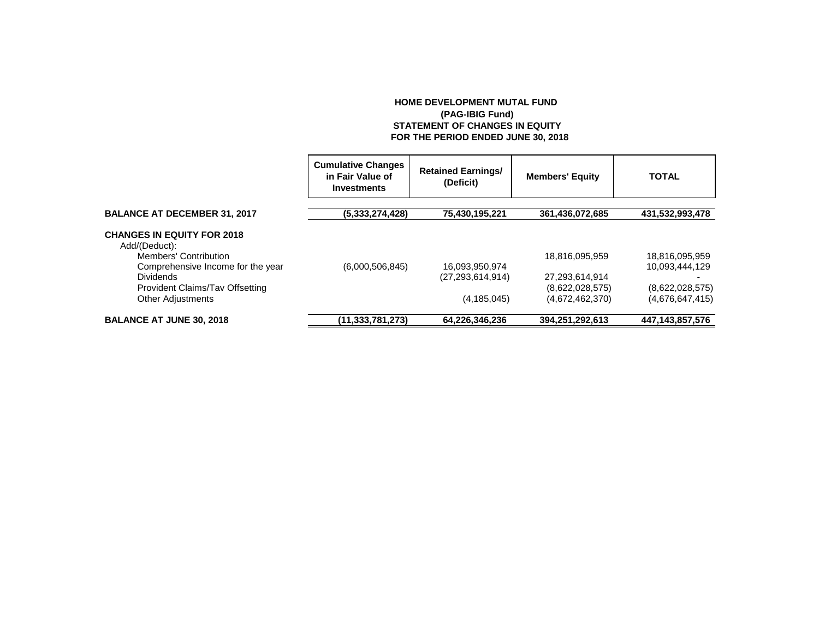## **HOME DEVELOPMENT MUTAL FUND (PAG-IBIG Fund) STATEMENT OF CHANGES IN EQUITY FOR THE PERIOD ENDED JUNE 30, 2018**

|                                                    | <b>Cumulative Changes</b><br>in Fair Value of<br>Investments | <b>Retained Earnings/</b><br>(Deficit) | <b>Members' Equity</b> | <b>TOTAL</b>    |
|----------------------------------------------------|--------------------------------------------------------------|----------------------------------------|------------------------|-----------------|
| <b>BALANCE AT DECEMBER 31, 2017</b>                | (5,333,274,428)                                              | 75,430,195,221                         | 361,436,072,685        | 431,532,993,478 |
| <b>CHANGES IN EQUITY FOR 2018</b><br>Add/(Deduct): |                                                              |                                        |                        |                 |
| Members' Contribution                              |                                                              |                                        | 18,816,095,959         | 18,816,095,959  |
| Comprehensive Income for the year                  | (6,000,506,845)                                              | 16,093,950,974                         |                        | 10.093.444.129  |
| <b>Dividends</b>                                   |                                                              | (27, 293, 614, 914)                    | 27,293,614,914         |                 |
| Provident Claims/Tav Offsetting                    |                                                              |                                        | (8,622,028,575)        | (8,622,028,575) |
| <b>Other Adjustments</b>                           |                                                              | (4, 185, 045)                          | (4,672,462,370)        | (4,676,647,415) |
| <b>BALANCE AT JUNE 30, 2018</b>                    | (11, 333, 781, 273)                                          | 64,226,346,236                         | 394,251,292,613        | 447,143,857,576 |